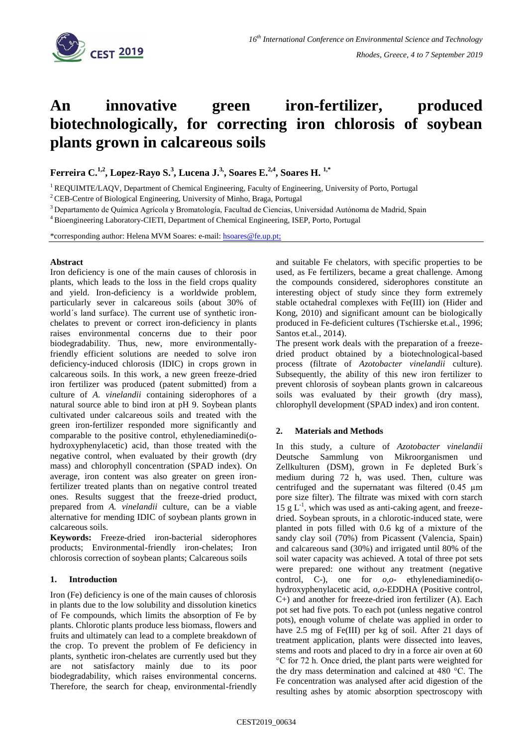

# **An innovative green iron-fertilizer, produced biotechnologically, for correcting iron chlorosis of soybean plants grown in calcareous soils**

**Ferreira C.1,2 , Lopez-Rayo S.<sup>3</sup> , Lucena J.3, , Soares E.2,4, Soares H. 1,\***

<sup>1</sup> REQUIMTE/LAQV, Department of Chemical Engineering, Faculty of Engineering, University of Porto, Portugal

<sup>2</sup>CEB-Centre of Biological Engineering, University of Minho, Braga, Portugal

<sup>3</sup>Departamento de Química Agrícola y Bromatología, Facultad de Ciencias, Universidad Autónoma de Madrid, Spain

<sup>4</sup> Bioengineering Laboratory-CIETI, Department of Chemical Engineering, ISEP, Porto, Portugal

\*corresponding author: Helena MVM Soares: e-mail: [hsoares@fe.up.pt;](mailto:hsoares@fe.up.pt) 

## **Abstract**

Iron deficiency is one of the main causes of chlorosis in plants, which leads to the loss in the field crops quality and yield. Iron-deficiency is a worldwide problem, particularly sever in calcareous soils (about 30% of world´s land surface). The current use of synthetic ironchelates to prevent or correct iron-deficiency in plants raises environmental concerns due to their poor biodegradability. Thus, new, more environmentallyfriendly efficient solutions are needed to solve iron deficiency-induced chlorosis (IDIC) in crops grown in calcareous soils. In this work, a new green freeze-dried iron fertilizer was produced (patent submitted) from a culture of *A. vinelandii* containing siderophores of a natural source able to bind iron at pH 9. Soybean plants cultivated under calcareous soils and treated with the green iron-fertilizer responded more significantly and comparable to the positive control, ethylenediaminedi(ohydroxyphenylacetic) acid, than those treated with the negative control, when evaluated by their growth (dry mass) and chlorophyll concentration (SPAD index). On average, iron content was also greater on green ironfertilizer treated plants than on negative control treated ones. Results suggest that the freeze-dried product, prepared from *A. vinelandii* culture, can be a viable alternative for mending IDIC of soybean plants grown in calcareous soils.

**Keywords:** Freeze-dried iron-bacterial siderophores products; Environmental-friendly iron-chelates; Iron chlorosis correction of soybean plants; Calcareous soils

# **1. Introduction**

Iron (Fe) deficiency is one of the main causes of chlorosis in plants due to the low solubility and dissolution kinetics of Fe compounds, which limits the absorption of Fe by plants. Chlorotic plants produce less biomass, flowers and fruits and ultimately can lead to a complete breakdown of the crop. To prevent the problem of Fe deficiency in plants, synthetic iron-chelates are currently used but they are not satisfactory mainly due to its poor biodegradability, which raises environmental concerns. Therefore, the search for cheap, environmental-friendly

and suitable Fe chelators, with specific properties to be used, as Fe fertilizers, became a great challenge. Among the compounds considered, siderophores constitute an interesting object of study since they form extremely stable octahedral complexes with Fe(III) ion (Hider and Kong, 2010) and significant amount can be biologically produced in Fe-deficient cultures (Tschierske et.al., 1996; Santos et.al., 2014).

The present work deals with the preparation of a freezedried product obtained by a biotechnological-based process (filtrate of *Azotobacter vinelandii* culture). Subsequently, the ability of this new iron fertilizer to prevent chlorosis of soybean plants grown in calcareous soils was evaluated by their growth (dry mass), chlorophyll development (SPAD index) and iron content.

# **2. Materials and Methods**

In this study, a culture of *Azotobacter vinelandii* Deutsche Sammlung von Mikroorganismen und Zellkulturen (DSM), grown in Fe depleted Burk´s medium during 72 h, was used. Then, culture was centrifuged and the supernatant was filtered  $(0.45 \mu m)$ pore size filter). The filtrate was mixed with corn starch  $15 \text{ g L}^{-1}$ , which was used as anti-caking agent, and freezedried. Soybean sprouts, in a chlorotic-induced state, were planted in pots filled with 0.6 kg of a mixture of the sandy clay soil (70%) from Picassent (Valencia, Spain) and calcareous sand (30%) and irrigated until 80% of the soil water capacity was achieved. A total of three pot sets were prepared: one without any treatment (negative control, C-), one for *o,o*- ethylenediaminedi(*o*hydroxyphenylacetic acid, *o,o*-EDDHA (Positive control, C+) and another for freeze-dried iron fertilizer (A). Each pot set had five pots. To each pot (unless negative control pots), enough volume of chelate was applied in order to have 2.5 mg of Fe(III) per kg of soil. After 21 days of treatment application, plants were dissected into leaves, stems and roots and placed to dry in a force air oven at 60 °C for 72 h. Once dried, the plant parts were weighted for the dry mass determination and calcined at 480 °C. The Fe concentration was analysed after acid digestion of the resulting ashes by atomic absorption spectroscopy with